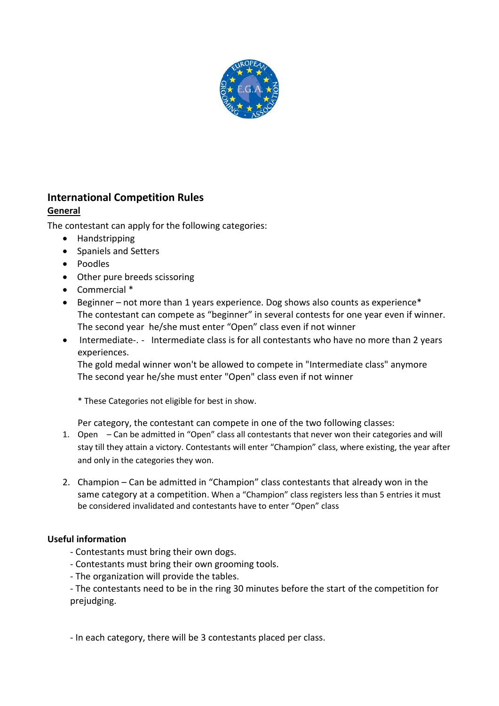

# **International Competition Rules**

## **General**

The contestant can apply for the following categories:

- Handstripping
- Spaniels and Setters
- Poodles
- Other pure breeds scissoring
- Commercial \*
- Beginner not more than 1 years experience. Dog shows also counts as experience\* The contestant can compete as "beginner" in several contests for one year even if winner. The second year he/she must enter "Open" class even if not winner
- Intermediate-. Intermediate class is for all contestants who have no more than 2 years experiences.

The gold medal winner won't be allowed to compete in "Intermediate class" anymore The second year he/she must enter "Open" class even if not winner

\* These Categories not eligible for best in show.

Per category, the contestant can compete in one of the two following classes:

- 1. Open Can be admitted in "Open" class all contestants that never won their categories and will stay till they attain a victory. Contestants will enter "Champion" class, where existing, the year after and only in the categories they won.
- 2. Champion Can be admitted in "Champion" class contestants that already won in the same category at a competition. When a "Champion" class registers less than 5 entries it must be considered invalidated and contestants have to enter "Open" class

### **Useful information**

- Contestants must bring their own dogs.
- Contestants must bring their own grooming tools.
- The organization will provide the tables.

- The contestants need to be in the ring 30 minutes before the start of the competition for prejudging.

- In each category, there will be 3 contestants placed per class.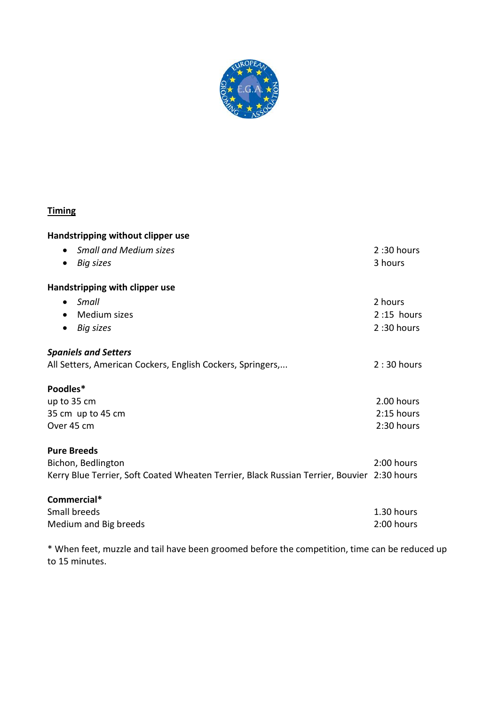

## **Timing**

| Handstripping without clipper use                                                          |              |
|--------------------------------------------------------------------------------------------|--------------|
| <b>Small and Medium sizes</b><br>$\bullet$                                                 | 2:30 hours   |
| <b>Big sizes</b><br>$\bullet$                                                              | 3 hours      |
| Handstripping with clipper use                                                             |              |
| Small<br>$\bullet$                                                                         | 2 hours      |
| Medium sizes<br>$\bullet$                                                                  | $2:15$ hours |
| <b>Big sizes</b><br>$\bullet$                                                              | 2:30 hours   |
| <b>Spaniels and Setters</b>                                                                |              |
| All Setters, American Cockers, English Cockers, Springers,                                 | $2:30$ hours |
| Poodles*                                                                                   |              |
| up to 35 cm                                                                                | 2.00 hours   |
| 35 cm up to 45 cm                                                                          | $2:15$ hours |
| Over 45 cm                                                                                 | 2:30 hours   |
| <b>Pure Breeds</b>                                                                         |              |
| Bichon, Bedlington                                                                         | 2:00 hours   |
| Kerry Blue Terrier, Soft Coated Wheaten Terrier, Black Russian Terrier, Bouvier 2:30 hours |              |
| Commercial*                                                                                |              |
| Small breeds                                                                               | 1.30 hours   |
| Medium and Big breeds                                                                      | 2:00 hours   |

\* When feet, muzzle and tail have been groomed before the competition, time can be reduced up to 15 minutes.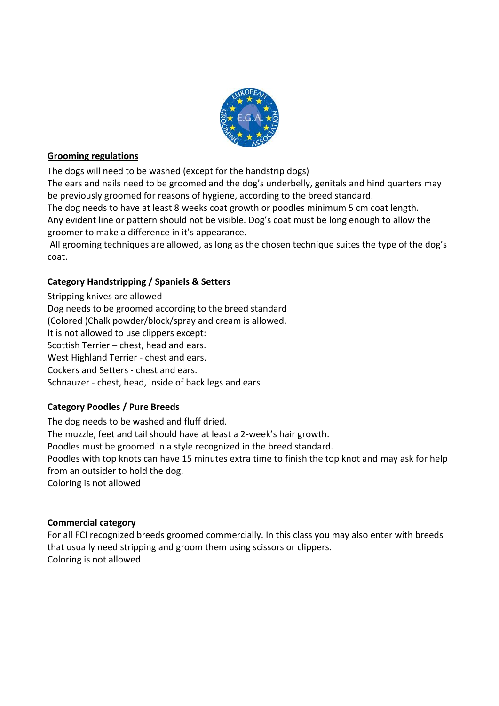

### **Grooming regulations**

The dogs will need to be washed (except for the handstrip dogs)

The ears and nails need to be groomed and the dog's underbelly, genitals and hind quarters may be previously groomed for reasons of hygiene, according to the breed standard.

The dog needs to have at least 8 weeks coat growth or poodles minimum 5 cm coat length. Any evident line or pattern should not be visible. Dog's coat must be long enough to allow the groomer to make a difference in it's appearance.

All grooming techniques are allowed, as long as the chosen technique suites the type of the dog's coat.

## **Category Handstripping / Spaniels & Setters**

Stripping knives are allowed Dog needs to be groomed according to the breed standard (Colored )Chalk powder/block/spray and cream is allowed. It is not allowed to use clippers except: Scottish Terrier – chest, head and ears. West Highland Terrier - chest and ears. Cockers and Setters - chest and ears. Schnauzer - chest, head, inside of back legs and ears

## **Category Poodles / Pure Breeds**

The dog needs to be washed and fluff dried. The muzzle, feet and tail should have at least a 2-week's hair growth. Poodles must be groomed in a style recognized in the breed standard. Poodles with top knots can have 15 minutes extra time to finish the top knot and may ask for help from an outsider to hold the dog. Coloring is not allowed

### **Commercial category**

For all FCI recognized breeds groomed commercially. In this class you may also enter with breeds that usually need stripping and groom them using scissors or clippers. Coloring is not allowed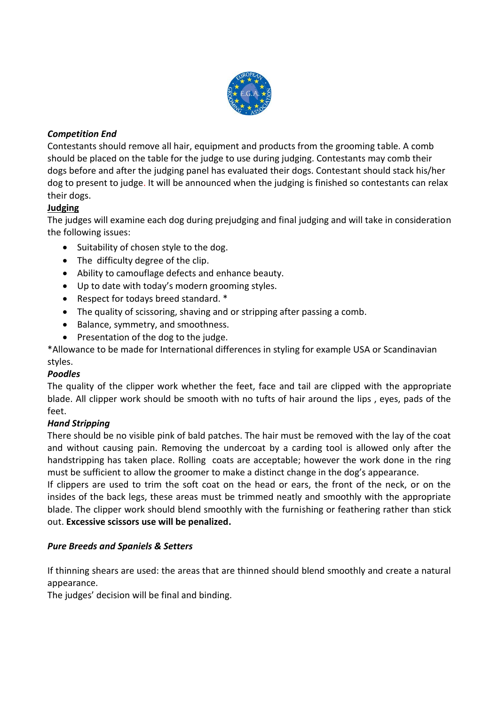

## *Competition End*

Contestants should remove all hair, equipment and products from the grooming table. A comb should be placed on the table for the judge to use during judging. Contestants may comb their dogs before and after the judging panel has evaluated their dogs. Contestant should stack his/her dog to present to judge. It will be announced when the judging is finished so contestants can relax their dogs.

## **Judging**

The judges will examine each dog during prejudging and final judging and will take in consideration the following issues:

- Suitability of chosen style to the dog.
- The difficulty degree of the clip.
- Ability to camouflage defects and enhance beauty.
- Up to date with today's modern grooming styles.
- Respect for todays breed standard. \*
- The quality of scissoring, shaving and or stripping after passing a comb.
- Balance, symmetry, and smoothness.
- Presentation of the dog to the judge.

\*Allowance to be made for International differences in styling for example USA or Scandinavian styles.

### *Poodles*

The quality of the clipper work whether the feet, face and tail are clipped with the appropriate blade. All clipper work should be smooth with no tufts of hair around the lips , eyes, pads of the feet.

### *Hand Stripping*

There should be no visible pink of bald patches. The hair must be removed with the lay of the coat and without causing pain. Removing the undercoat by a carding tool is allowed only after the handstripping has taken place. Rolling coats are acceptable; however the work done in the ring must be sufficient to allow the groomer to make a distinct change in the dog's appearance.

If clippers are used to trim the soft coat on the head or ears, the front of the neck, or on the insides of the back legs, these areas must be trimmed neatly and smoothly with the appropriate blade. The clipper work should blend smoothly with the furnishing or feathering rather than stick out. **Excessive scissors use will be penalized.**

### *Pure Breeds and Spaniels & Setters*

If thinning shears are used: the areas that are thinned should blend smoothly and create a natural appearance.

The judges' decision will be final and binding.